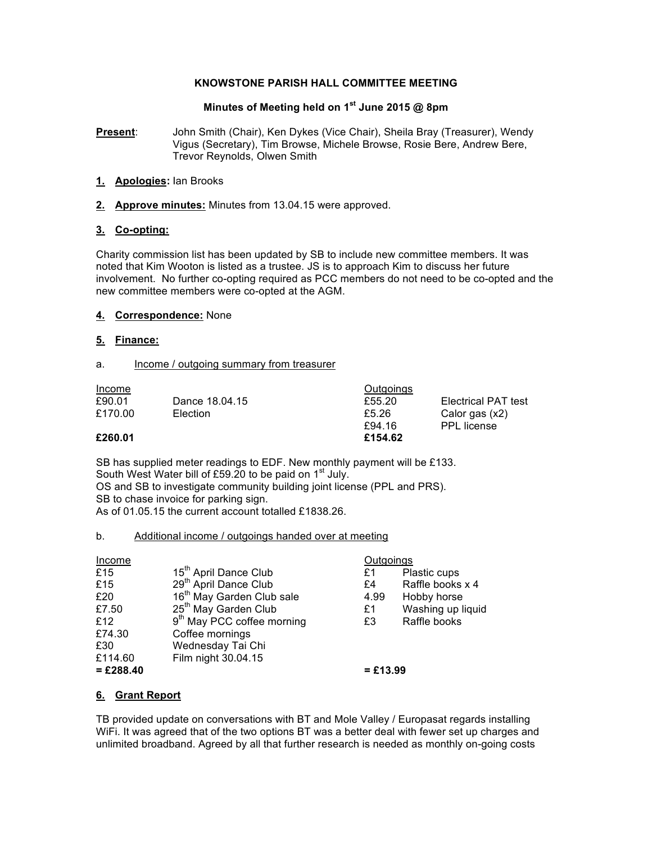### **KNOWSTONE PARISH HALL COMMITTEE MEETING**

# **Minutes of Meeting held on 1st June 2015 @ 8pm**

**Present**: John Smith (Chair), Ken Dykes (Vice Chair), Sheila Bray (Treasurer), Wendy Vigus (Secretary), Tim Browse, Michele Browse, Rosie Bere, Andrew Bere, Trevor Reynolds, Olwen Smith

### **1. Apologies:** Ian Brooks

**2. Approve minutes:** Minutes from 13.04.15 were approved.

### **3. Co-opting:**

Charity commission list has been updated by SB to include new committee members. It was noted that Kim Wooton is listed as a trustee. JS is to approach Kim to discuss her future involvement. No further co-opting required as PCC members do not need to be co-opted and the new committee members were co-opted at the AGM.

# **4. Correspondence:** None

### **5. Finance:**

#### a. Income / outgoing summary from treasurer

| Income  |                | Outgoings |                     |
|---------|----------------|-----------|---------------------|
| £90.01  | Dance 18.04.15 | £55.20    | Electrical PAT test |
| £170.00 | Election       | £5.26     | Calor gas (x2)      |
|         |                | £94.16    | <b>PPL</b> license  |
| £260.01 |                | £154.62   |                     |

SB has supplied meter readings to EDF. New monthly payment will be £133. South West Water bill of £59.20 to be paid on 1<sup>st</sup> July. OS and SB to investigate community building joint license (PPL and PRS). SB to chase invoice for parking sign.

As of 01.05.15 the current account totalled £1838.26.

#### b. Additional income / outgoings handed over at meeting

| Income      |                                        | Outgoings  |                   |
|-------------|----------------------------------------|------------|-------------------|
| £15         | 15 <sup>th</sup> April Dance Club      | £1         | Plastic cups      |
| £15         | 29 <sup>th</sup> April Dance Club      | £4         | Raffle books x 4  |
| £20         | 16 <sup>th</sup> May Garden Club sale  | 4.99       | Hobby horse       |
| £7.50       | 25 <sup>th</sup> May Garden Club       | £1         | Washing up liquid |
| £12         | 9 <sup>th</sup> May PCC coffee morning | £3         | Raffle books      |
| £74.30      | Coffee mornings                        |            |                   |
| £30         | Wednesday Tai Chi                      |            |                   |
| £114.60     | Film night 30.04.15                    |            |                   |
| $=$ £288.40 |                                        | $=$ £13.99 |                   |

# **6. Grant Report**

TB provided update on conversations with BT and Mole Valley / Europasat regards installing WiFi. It was agreed that of the two options BT was a better deal with fewer set up charges and unlimited broadband. Agreed by all that further research is needed as monthly on-going costs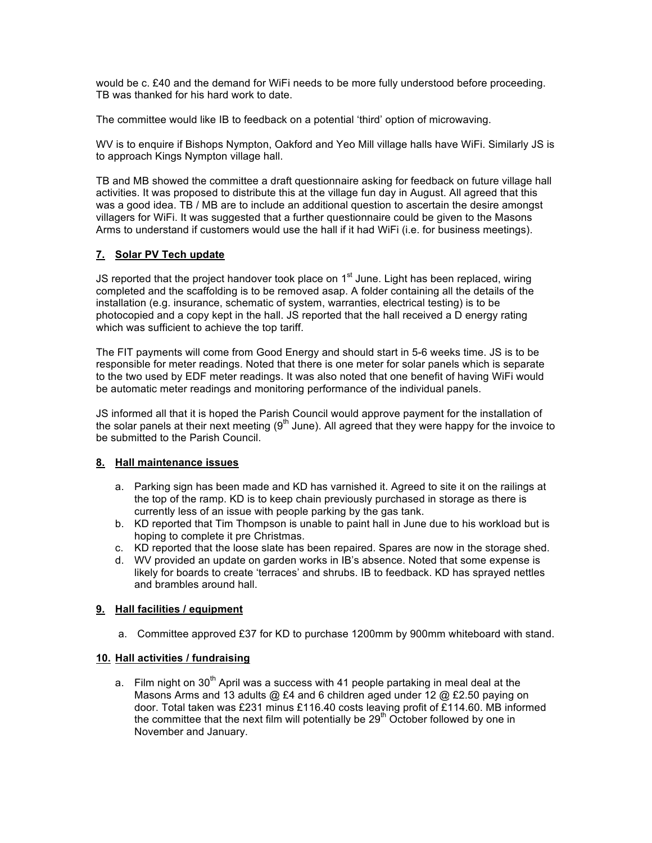would be c. £40 and the demand for WiFi needs to be more fully understood before proceeding. TB was thanked for his hard work to date.

The committee would like IB to feedback on a potential 'third' option of microwaving.

WV is to enquire if Bishops Nympton, Oakford and Yeo Mill village halls have WiFi. Similarly JS is to approach Kings Nympton village hall.

TB and MB showed the committee a draft questionnaire asking for feedback on future village hall activities. It was proposed to distribute this at the village fun day in August. All agreed that this was a good idea. TB / MB are to include an additional question to ascertain the desire amongst villagers for WiFi. It was suggested that a further questionnaire could be given to the Masons Arms to understand if customers would use the hall if it had WiFi (i.e. for business meetings).

# **7. Solar PV Tech update**

JS reported that the project handover took place on  $1<sup>st</sup>$  June. Light has been replaced, wiring completed and the scaffolding is to be removed asap. A folder containing all the details of the installation (e.g. insurance, schematic of system, warranties, electrical testing) is to be photocopied and a copy kept in the hall. JS reported that the hall received a D energy rating which was sufficient to achieve the top tariff.

The FIT payments will come from Good Energy and should start in 5-6 weeks time. JS is to be responsible for meter readings. Noted that there is one meter for solar panels which is separate to the two used by EDF meter readings. It was also noted that one benefit of having WiFi would be automatic meter readings and monitoring performance of the individual panels.

JS informed all that it is hoped the Parish Council would approve payment for the installation of the solar panels at their next meeting  $(9<sup>th</sup>$  June). All agreed that they were happy for the invoice to be submitted to the Parish Council.

# **8. Hall maintenance issues**

- a. Parking sign has been made and KD has varnished it. Agreed to site it on the railings at the top of the ramp. KD is to keep chain previously purchased in storage as there is currently less of an issue with people parking by the gas tank.
- b. KD reported that Tim Thompson is unable to paint hall in June due to his workload but is hoping to complete it pre Christmas.
- c. KD reported that the loose slate has been repaired. Spares are now in the storage shed.
- d. WV provided an update on garden works in IB's absence. Noted that some expense is likely for boards to create 'terraces' and shrubs. IB to feedback. KD has sprayed nettles and brambles around hall.

# **9. Hall facilities / equipment**

a. Committee approved £37 for KD to purchase 1200mm by 900mm whiteboard with stand.

# **10. Hall activities / fundraising**

a. Film night on  $30<sup>th</sup>$  April was a success with 41 people partaking in meal deal at the Masons Arms and 13 adults @ £4 and 6 children aged under 12 @ £2.50 paying on door. Total taken was £231 minus £116.40 costs leaving profit of £114.60. MB informed the committee that the next film will potentially be  $29<sup>th</sup>$  October followed by one in November and January.